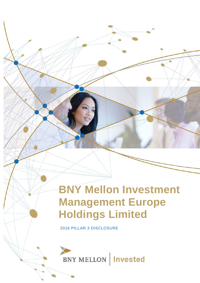# **BNY Mellon Investment Management Europe Holdings Limited**

2016 PILLAR 3 DISCLOSURE

-

•

-

**J** 

•

- 11<br>- 11<br>- 11

•

...

•

•

•

•

-

-

.

' •

**SO** 

}• BNY MELLON **Invested**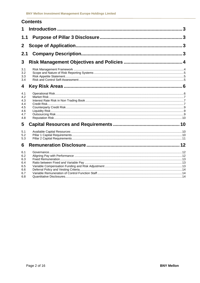|                                                      | <b>Contents</b> |  |
|------------------------------------------------------|-----------------|--|
| 1                                                    |                 |  |
| 1.1                                                  |                 |  |
| $\mathbf{2}$                                         |                 |  |
| 2.1                                                  |                 |  |
| 3                                                    |                 |  |
| 3.1<br>3.2<br>3.3<br>3.4                             |                 |  |
| 4                                                    |                 |  |
| 4.1<br>4.2<br>4.3<br>4.4<br>4.5<br>4.6<br>4.7<br>4.8 |                 |  |
| 5                                                    |                 |  |
| 5.1<br>5.2<br>5.3                                    |                 |  |
| 6                                                    |                 |  |
| 6.1<br>6.2<br>6.3<br>6.4<br>6.5<br>6.6               |                 |  |
| 6.7<br>6.8                                           |                 |  |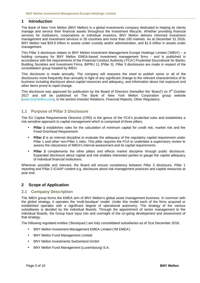## **1 Introduction**

The Bank of New York Mellon (BNY Mellon) is a global investments company dedicated to helping its clients manage and service their financial assets throughout the investment lifecycle. Whether providing financial services for institutions, corporations or individual investors, BNY Mellon delivers informed investment management and investment services in 35 countries and more than 100 markets. As at December 31 2016, BNY Mellon had \$29.9 trillion in assets under custody and/or administration, and \$1.6 trillion in assets under management.

This Pillar 3 disclosure relates to BNY Mellon Investment Management Europe Holdings Limited ('IMEH') – a holding company for BNY Mellon EMEA-based investment management firms - and is published in accordance with the requirements of the Financial Conduct Authority ('FCA') Prudential Sourcebook for Banks, Building Societies and Investment Firms, BIPRU 11 (Pillar 3). Pillar 3 disclosures are made in respect of the consolidation group headed by IMEH.

This disclosure is made annually. The company will reassess the need to publish some or all of the disclosures more frequently than annually in light of any significant change to the relevant characteristics of its business including disclosure about capital resources and adequacy, and information about risk exposure and other items prone to rapid change.

This disclosure was approved for publication by the Board of Directors (hereafter the 'Board') on  $4<sup>th</sup>$  October 2017 and will be published on The Bank of New York Mellon Corporation group website ([www.bnymellon.com](http:www.bnymellon.com)), in the section Investor Relations, Financial Reports, Other Regulatory.

#### **1.1 Purpose of Pillar 3 Disclosure**

The EU Capital Requirements Directive (CRD) is the genus of the FCA's prudential rules and establishes a risk sensitive approach to capital management which is comprised of three pillars:

- Pillar 1 establishes rules for the calculation of minimum capital for credit risk, market risk and the Fixed Overhead Requirement.
- **Pillar 2** is an internal discipline to evaluate the adequacy of the regulatory capital requirement under Pillar 1 and other non-Pillar 1 risks. This pillar requires the FCA to undertake a supervisory review to assess the robustness of IMEH's internal assessment and its capital requirements.
- **Pillar 3** complements the other pillars and effects market discipline through public disclosure. Expanded disclosure about capital and risk enables interested parties to gauge the capital adequacy of individual financial institutions.

Wherever possible and relevant, the Board will ensure consistency between Pillar 3 disclosure, Pillar 1 reporting and Pillar 2 ICAAP content e.g. disclosure about risk management practices and capital resources at year end.

### **2 Scope of Application**

#### **2.1 Company Description**

The IMEH group forms the EMEA arm of BNY Mellon's global asset management business. In common with the global strategy, it operates the 'multi-boutique' model. Under this model each of the firms acquired or established operates with a significant degree of operational autonomy. The strategy of the various subsidiaries is decided by the individual Boards. Through the appointment of senior management to the individual Boards, the Group have input into and oversight of the on-going development and assessment of that strategy.

The following regulated entities ('Boutiques') are fully consolidated subsidiaries as of 31st December 2016:

- BNY Mellon Investment Management EMEA Limited ('IM EMEA')
- **BNY Mellon Fund Management Limited**
- **BNY Mellon Investments Switzerland GmbH**
- BNY Mellon Fund Management (Luxembourg) S.A.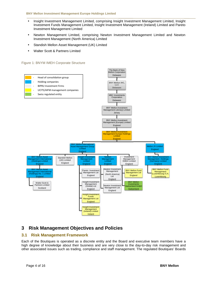- • Insight Investment Management Limited, comprising Insight Investment Management Limited, Insight Investment Funds Management Limited, Insight Investment Management (Ireland) Limited and Pareto Investment Management Limited
- Newton Management Limited, comprising Newton Investment Management Limited and Newton Investment Management (North America) Limited
- Standish Mellon Asset Management (UK) Limited
- • Walter Scott & Partners Limited

#### Figure 1: BNYM IMEH Corporate Structure



## **3 Risk Management Objectives and Policies**

### **3.1 Risk Management Framework**

Each of the Boutiques is operated as a discrete entity and the Board and executive team members have a high degree of knowledge about their business and are very close to the day-to-day risk management and other associated issues such as trading, compliance and staff management. The regulated Boutiques' Boards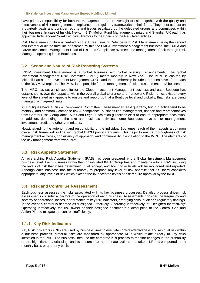have primary responsibility for both the management and the oversight of risks together with the quality and effectiveness of risk management, compliance and regulatory frameworks in their firms. They meet at least on a quarterly basis and consider reports and issues escalated by the delegated groups and committees within their business. In case of Insight, Newton, BNY Mellon Fund Management Limited and Standish UK each has appointed Independent Non-Executive Directors to the Boards of the Regulated entities.

Risk Management culture is centred on the Three Lines of Defence with Risk Management being the second and Internal Audit the third line of defence. Within the EMEA Investment Management business, the EMEA and LatAm Investment Management Head of Risk and Compliance oversees the management of risk through Risk Managers operating in the Boutiques.

## **3.2 Scope and Nature of Risk Reporting Systems**

BNYM Investment Management is a global business with global oversight arrangements. The global Investment Management Risk Committee (IMRC) meets monthly in New York. The IMRC is chaired by Mitchell Harris – the Investment Management CEO - and the membership includes representatives from each of the BNYM IM regions. The IMRC is responsible for the management of risk across the entire IM business.

The IMRC has set a risk appetite for the Global Investment Management business and each Boutique has established its own risk appetite within the overall global tolerance and framework. Risk metrics exist at every level of the stated risk appetite to ensure and report, both at a Boutique level and globally, that risks are being managed with agreed limits.

All Boutiques have a Risk & Compliance Committee. These meet at least quarterly, but in practice tend to be monthly, and commonly comprise risk & compliance, business line management, finance and representatives from Central Risk, Compliance, Audit and Legal. Escalation guidelines exist to ensure appropriate escalation. In addition, depending on the size and business activities, some Boutiques have senior management, investment, credit and other committees.

Notwithstanding the autonomy and responsibility of the individual Boutiques, each of them adopts a common overall risk framework in line with global BNYM policy standards. This helps to ensure thoroughness of risk management activities, consistency of approach, and commonality in escalation to the IMRC. The elements of the risk management framework are:

### **3.3 Risk Appetite Statement**

An overarching Risk Appetite Statement (RAS) has been prepared at the Global Investment Management business level. Each business within the consolidated IMEH Group has and maintains a local RAS including the levels of risk that it has determined it will accept, and how those levels will be monitored and reported. Although each business has the autonomy to propose any level of risk appetite that its Board considers appropriate, any levels of risk which exceed the IM accepted levels of risk require approval by the IMRC.

### **3.4 Risk and Control Self-Assessment**

Each business assesses the risks associated with its key business processes. Detailed process driven risk assessments consider all factors of the operation of each business. Assessments consider the frequency and severity of operational losses, performance of key risk indicators, emerging risks, audit and regulatory findings. In the event a control is deemed as 'Designed Effectively/ Operating Ineffectively' or 'Designed Ineffectively/ Operating Ineffectively' the risk owner or their designee documents a description of the Control Gap and Action Plan to mitigate the control inefficiency.

### **1.1.1 Key Risk Indicators**

Key Risk Indicators (KRIs) are used by business lines to evaluate control effectiveness and residual risk within a business process. Material risks are monitored by appropriate KRIs which relate directly to key risks identified in the RAS. The business lines use the corporate KRI process to monitor changes in the probability of the high risks materialising, and to ensure that appropriate actions are taken. KRIs are reported on a monthly basis or quarterly basis.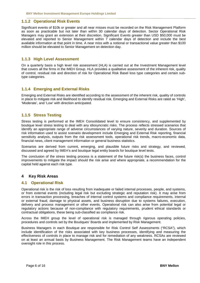#### **1.1.2 Operational Risk Events**

Significant events of \$10k or greater and all near misses must be recorded on the Risk Management Platform as soon as practicable but not later than within 30 calendar days of detection. Sector Operational Risk Managers may grant an extension at their discretion. Significant Events greater than USD \$50,000 must be elevated and reported to Senior Management within 7 calendar days of detection and include the best available information at that point in time. A near miss with a notional or transactional value greater than \$100 million should be elevated to Senior Management on detection day.

### **1.1.3 High Level Assessment**

On a quarterly basis a high level risk assessment (HLA) is carried out at the Investment Management level that covers all the firms in the IMEH Group. HLA provides a qualitative assessment of the inherent risk, quality of control, residual risk and direction of risk for Operational Risk Basel loss type categories and certain subtype categories.

## **1.1.4 Emerging and External Risks**

Emerging and External Risks are identified according to the assessment of the inherent risk, quality of controls in place to mitigate risk and likelihood to identify residual risk. Emerging and External Risks are rated as 'High', 'Moderate', and 'Low' with direction anticipated.

## **1.1.5 Stress Testing**

Stress testing is performed at the IMEH Consolidated level to ensure consistency, and supplemented by boutique level stress testing to deal with any idiosyncratic risks. The process reflects stressed scenarios that identify an appropriate range of adverse circumstances of varying nature, severity and duration. Sources of risk information used to assist scenario development include Emerging and External Risk reporting, financial sensitivity analysis, outputs from the risk assessment tools, operational risk trends, macro-economic data, financial news, client management information or general business statistics.

Scenarios are derived from current, emerging, and plausible future risks and strategy, and reviewed, discussed and agreed by IMEH's and boutique legal entity boards for boutique level tests.

The conclusion of the stress testing process is a statement of the future risk(s) the business faces, control improvements to mitigate the impact should the risk arise and where appropriate, a recommendation for the capital held against each risk type.

### **4 Key Risk Areas**

#### **4.1 Operational Risk**

Operational risk is the risk of loss resulting from inadequate or failed internal processes, people, and systems, or from external events (including legal risk but excluding strategic and reputation risk). It may arise from errors in transaction processing, breaches of internal control systems and compliance requirements, internal or external fraud, damage to physical assets, and business disruption due to systems failures, execution, delivery and process management or other events. Operational risk can also arise from potential legal or regulatory actions because of non-compliance with regulatory requirements, prudent ethical standards or contractual obligations, these being sub-classified as compliance risk.

Across the IMEH group the level of operational risk is managed through rigorous operating policies, procedures and controls set by the Boutiques' Boards and implemented by Risk Management.

Business Managers in each Boutique are responsible for Risk Control Self Assessments ("RCSA"), which include identification of the risks associated with key business processes, identifying and measuring the effectiveness of controls in place to manage risk and for remediation of any weakness. RCSAs are reviewed on at least an annual basis by Business Management. The Risk Management teams have an independent oversight role in this process.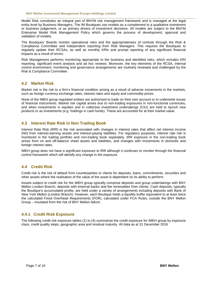Model Risk constitutes an integral part of BNYM risk management framework and is managed at the legal entity level by Business Managers. The IM Boutiques use models as a complement to a qualitative investment or business judgement, or as primary drivers of investment decisions. All models are subject to the BNYM Enterprise Model Risk Management Policy which governs the process of development, approval and validation of models.

The Boutiques' Boards monitor operational risks and the appropriateness of controls through the Risk & Compliance Committee and independent reporting from Risk Managers. This requires the Boutiques to regularly update their RCSAs, as well as monthly KRIs and prompt reporting of any significant financial impacts as a result of errors.

Risk Management performs monitoring appropriate to the business and identified risks, which includes KRI reporting, significant event analysis and ad hoc reviews. Moreover, the key elements of the RCSA, internal control environment, monitoring and governance arrangements are routinely reviewed and challenged by the Risk & Compliance Committee.

### **4.2 Market Risk**

Market risk is the risk to a firm's financial condition arising as a result of adverse movements in the markets, such as foreign currency exchange rates, interest rates and equity and commodity prices.

None of the IMEH group regulated entities are authorised to trade on their own account or to underwrite issues of financial instruments. Market risk capital arises due to non-trading exposures in non-functional currencies, and when investments in equities and in collective investment undertakings (CIU) are held to launch new products or as investments (e.g. holdings in cash funds). These are accounted for at their market value.

### **4.3 Interest Rate Risk in Non Trading Book**

Interest Rate Risk (IRR) is the risk associated with changes in interest rates that affect net interest income (NII) from interest-earning assets and interest-paying liabilities. For regulatory purposes, interest rate risk is monitored in the trading portfolio and non-trading book separately. IRR exposure in the non-trading book arises from on and off-balance sheet assets and liabilities, and changes with movements in domestic and foreign interest rates.

IMEH group does not have a significant exposure to IRR although it continues to monitor through the financial control framework which will identify any change in the exposure.

### **4.4 Credit Risk**

Credit risk is the risk of default from counterparties or clients for deposits, loans, commitments, securities and other assets where the realisation of the value of the asset is dependent on its ability to perform.

Assets subject to credit risk for the IMEH group typically comprise deposits and group undertakings with BNY Mellon London Branch, deposits with external banks and fee receivables from clients. Cash deposits, typically the Boutique's accumulated profits, are held under a variety of arrangements including deposits with Bank of New York Mellon (London Branch). However, each Boutique holds a liquidity buffer equivalent to at least twice the calculated Fixed Overhead Requirements (FOR), calculated under FCA Rules, outside the BNY Mellon Group – insulated from the risk of BNY Mellon failure.

### **4.4.1 Credit Risk Exposure**

The following credit risk exposure tables (1) to (4) summarise the credit exposure for IMEH group by exposure class, credit quality steps, geographic area and residual maturity. All data as at 31 December 2016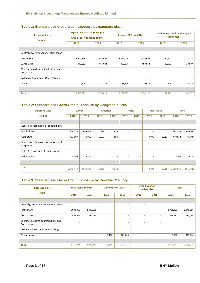| <b>Exposure Class</b><br>(E'000)                    |                          | <b>Exposure at Default (EAD) pre</b><br><b>Credit Risk Mitigation (CRM)</b> |                          | <b>Average EAD pre CRM</b> |                          | <b>Standardised Credit Risk Capital</b><br><b>Requirement</b> |
|-----------------------------------------------------|--------------------------|-----------------------------------------------------------------------------|--------------------------|----------------------------|--------------------------|---------------------------------------------------------------|
|                                                     | 2016                     | 2015                                                                        | 2016                     | 2015                       | 2016                     | 2015                                                          |
|                                                     |                          |                                                                             |                          |                            |                          |                                                               |
| Central governments or central banks                | $\overline{\phantom{a}}$ | $\sim$                                                                      | $\overline{\phantom{a}}$ | $\overline{\phantom{a}}$   | $\overline{\phantom{a}}$ |                                                               |
| Institutions                                        | 1,901,359                | 1,445,696                                                                   | 1,796,026                | 1,436,696                  | 30,422                   | 23,131                                                        |
| Corporates                                          | 449,512                  | 485,084                                                                     | 396,964                  | 499,863                    | 35,961                   | 38,807                                                        |
| Short term claims on Institutions and<br>Corporates | $\overline{\phantom{a}}$ | $\overline{\phantom{a}}$                                                    | $\overline{\phantom{a}}$ | $\overline{\phantom{0}}$   | $\overline{\phantom{a}}$ |                                                               |
| <b>Collective Investment Undertakings</b>           | $\overline{\phantom{a}}$ | $\sim$                                                                      | $\overline{\phantom{a}}$ | $\overline{\phantom{a}}$   | $\overline{\phantom{a}}$ | ۰                                                             |
| Other                                               | 9,100                    | 125,246                                                                     | 88,349                   | 119,638                    | 728                      | 6,433                                                         |
|                                                     |                          |                                                                             |                          |                            |                          |                                                               |
| <b>Total</b>                                        | 2,359,971                | 2,056,025                                                                   | 2,281,339                | 2,056,197                  | 67,111                   | 68,371                                                        |

**Table 1: Standardised gross credit exposure by exposure class** 

#### **Table 2: Standardised Gross Credit Exposure by Geographic Area**

| <b>Exposure Class</b>                               |                          | <b>Europe</b>            |       | <b>Americas</b>          |                          | Africa                   |                          | <b>Asia Pacific</b>      |                          | <b>Total</b>             |
|-----------------------------------------------------|--------------------------|--------------------------|-------|--------------------------|--------------------------|--------------------------|--------------------------|--------------------------|--------------------------|--------------------------|
| (E'000)                                             | 2016                     | 2015                     | 2016  | 2015                     | 2016                     | 2015                     | 2016                     | 2015                     | 2016                     | 2015                     |
|                                                     |                          |                          |       |                          |                          |                          |                          |                          |                          |                          |
| Central governments or central banks                | $\sim$                   | $\overline{\phantom{a}}$ | ٠     | $\sim$                   | $\overline{\phantom{a}}$ | $\overline{\phantom{a}}$ | $\overline{\phantom{a}}$ | $\overline{\phantom{a}}$ | $\sim$                   |                          |
| <b>Institutions</b>                                 | 1,900,539                | 1,444,013                | 820   | 1,679                    | $\overline{\phantom{a}}$ | $\overline{\phantom{a}}$ | $\overline{\phantom{a}}$ | 3                        | 1,901,359                | 1,445,696                |
| Corporates                                          | 432,809                  | 470,916                  | 7,631 | 7,554                    | $\overline{a}$           |                          | 9,072                    | 6,613                    | 449,512                  | 485,084                  |
| Short term claims on Institutions and<br>Corporates | $\overline{\phantom{a}}$ |                          | ۰     | $\overline{\phantom{a}}$ | $\overline{\phantom{a}}$ | $\overline{\phantom{0}}$ | ۰                        | $\overline{\phantom{a}}$ | $\overline{\phantom{a}}$ |                          |
| <b>Collective Investment Undertakings</b>           | $\sim$                   | $\overline{\phantom{a}}$ | ۰     | $\sim$                   | $\overline{\phantom{a}}$ | $\overline{\phantom{a}}$ | $\overline{\phantom{a}}$ | $\overline{\phantom{a}}$ | $\sim$                   | $\overline{\phantom{0}}$ |
| Other items                                         | 9,100                    | 125,246                  | ÷     | $\sim$                   | $\overline{\phantom{a}}$ | $\overline{\phantom{a}}$ | $\overline{\phantom{a}}$ | $\overline{\phantom{a}}$ | 9,100                    | 125,246                  |
|                                                     |                          |                          |       |                          |                          |                          |                          |                          |                          |                          |
| <b>Total</b>                                        | 2,342,448                | 2,040,175                | 8,451 | 9,234                    | $\sim$                   | $\sim$                   | 9,072                    | 6,616                    | 2,359,971                | 2,056,025                |

#### **Table 3: Standardised Gross Credit Exposure by Residual Maturity**

| <b>Exposure Class</b>                               |                          | Less than 3 months       |                          | 3 months to 1year        | Over 1 year or<br>unidentified |                          |           | <b>Total</b> |  |
|-----------------------------------------------------|--------------------------|--------------------------|--------------------------|--------------------------|--------------------------------|--------------------------|-----------|--------------|--|
| (E'000)                                             | 2016                     | 2015                     | 2016                     | 2015                     | 2016                           | 2015                     | 2016      | 2015         |  |
|                                                     |                          |                          |                          |                          |                                |                          |           |              |  |
| Central governments or central banks                |                          | $\overline{\phantom{a}}$ | ٠                        | $\overline{\phantom{a}}$ | $\overline{\phantom{a}}$       | $\overline{\phantom{a}}$ |           |              |  |
| <b>Institutions</b>                                 | 1,901,359                | 1,445,696                | $\overline{\phantom{a}}$ | $\sim$                   | $\overline{\phantom{a}}$       | $\sim$                   | 1,901,359 | 1,445,696    |  |
| Corporates                                          | 449,512                  | 485,084                  | $\sim$                   | $\sim$                   | $\sim$                         | $\sim$                   | 449,512   | 485,084      |  |
| Short term claims on institutions and<br>Corporates |                          | $\overline{\phantom{a}}$ |                          | $\overline{\phantom{a}}$ |                                | $\overline{\phantom{a}}$ |           |              |  |
| <b>Collective Investment Undertakings</b>           | $\overline{\phantom{a}}$ | $\sim$                   | $\overline{\phantom{a}}$ | $\overline{\phantom{a}}$ | $\overline{\phantom{a}}$       | $\overline{\phantom{a}}$ | ٠         | $\sim$       |  |
| Other items                                         |                          |                          | 9,100                    | 125,246                  |                                |                          | 9,100     | 125,246      |  |
|                                                     |                          |                          |                          |                          |                                |                          |           |              |  |
| <b>Total</b>                                        | 2,350,871                | 1,930,780                | 9,100                    | 125,246                  | $\sim$                         |                          | 2,359,971 | 2,056,025    |  |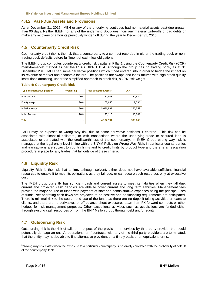#### **4.4.2 Past-Due Assets and Provisions**

As at December 31, 2016, IMEH or any of the underlying boutiques had no material assets past-due greater than 90 days. Neither IMEH nor any of the underlying Boutiques incur any material write-offs of bad debts or make any recovery of amounts previously written off during the year to December 31, 2016.

## **4.5 Counterparty Credit Risk**

Counterparty credit risk is the risk that a counterparty to a contract recorded in either the trading book or nontrading book defaults before fulfilment of cash-flow obligations.

The IMEH group computes counterparty credit risk capital at Pillar 1 using the Counterparty Credit Risk (CCR) mark-to-market method as per the FSA's BIPRU 13.4. Although the group has no trading book, as at 31 December 2016 IMEH had some derivative positions which it had entered into in order to hedge the impact on its revenue of market and economic factors. The positions are swaps and index futures with high credit quality institutions attracting, under the simplified approach to credit risk, a 20% risk weight.

#### **Table 4: Counterparty Credit Risk**

| Type of a derivative position | Weighting | <b>Risk Weighted Assets</b> | <b>CCR</b> |
|-------------------------------|-----------|-----------------------------|------------|
| Interest swap                 | 20%       | 287,303                     | 22,984     |
| Equity swap                   | 20%       | 103,680                     | 8,294      |
| Inflation swap                | 20%       | 3,656,897                   | 292,552    |
| <b>Index Futures</b>          | 20%       | 125,115                     | 10,009     |
| <b>Total</b>                  | ۰         | 4,172,994                   | 333,840    |

IMEH may be exposed to wrong way risk due to some derivative positions it entered.<sup>1</sup> This risk can be associated with financial collateral, or with transactions where the underlying trade or secured loan is associated or correlated with the creditworthiness of the counterparty. In IMEH Group wrong way risk is managed at the legal entity level in line with the BNYM Policy on Wrong Way Risk; in particular counterparties and transactions are subject to country limits and to credit limits by product type and there is an escalation procedure in place for any trades that fall outside of these criteria.

### **4.6 Liquidity Risk**

Liquidity Risk is the risk that a firm, although solvent, either does not have available sufficient financial resources to enable it to meet its obligations as they fall due, or can secure such resources only at excessive cost.

The IMEH group currently has sufficient cash and current assets to meet its liabilities when they fall due; current and projected cash deposits are able to cover current and long term liabilities. Management fees provide the major source of funds with payment of staff and administrative expenses being the principal uses of funds. Net operating cash flows are projected to be positive and no financing requirements are anticipated. There is minimal risk to the source and use of the funds as there are no deposit-taking activities or loans to clients, and there are no derivatives or off-balance sheet exposures apart from FX forward contracts or other hedges for risk management purposes. Other exceptional activities such as acquisitions are funded either through existing cash resources or from the BNY Mellon group through debt and/or equity.

### **4.7 Outsourcing Risk**

Outsourcing risk is the risk of failure in respect of the provision of services by third party provider that could potentially damage an entity's operations, or if contracts with any of the third party providers are terminated, that the entity may not be able to find alternative providers on a timely basis or on equivalent terms.

 $1$  Wrong way risk exists when the exposure to a particular counterparty is positively correlated with the probability of default of the counterparty itself.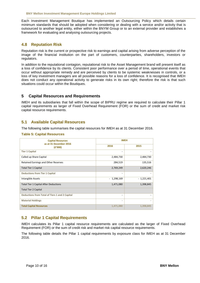Each Investment Management Boutique has implemented an Outsourcing Policy which details certain minimum standards that should be adopted when considering or dealing with a service and/or activity that is outsourced to another legal entity, either within the BNYM Group or to an external provider and establishes a framework for evaluating and analysing outsourcing projects.

## **4.8 Reputation Risk**

Reputation risk is the current or prospective risk to earnings and capital arising from adverse perception of the image of the financial institution on the part of customers, counterparties, shareholders, investors or regulators.

In addition to the reputational contagion, reputational risk to the Asset Management brand will present itself as a loss of confidence by its clients. Consistent poor performance over a period of time, operational events that occur without appropriate remedy and are perceived by clients to be systemic weaknesses in controls, or a loss of key investment managers are all possible reasons for a loss of confidence. It is recognised that IMEH does not conduct any operational activity to generate risks in its own right; therefore the risk is that such situations could occur within the Boutiques.

## **5 Capital Resources and Requirements**

IMEH and its subsidiaries that fall within the scope of BIPRU regime are required to calculate their Pillar 1 capital requirements as larger of Fixed Overhead Requirement (FOR) or the sum of credit and market risk capital resource requirements.

## **5.1 Available Capital Resources**

The following table summarises the capital resources for IMEH as at 31 December 2016.

#### **Table 5: Capital Resources**

| <b>Capital Resources</b>                       |                              | <b>IMEH</b>  |
|------------------------------------------------|------------------------------|--------------|
| as at 31 December 2016<br>(E'000)              | 2016                         | 2015         |
| <b>Tier 1 Capital</b>                          | $\overline{\phantom{0}}$     |              |
| Called up Share Capital                        | 2,484,730                    | 2,484,730    |
| <b>Retained Earnings and Other Reserves</b>    | 284,519                      | 135,516      |
| <b>Total Tier 1 Capital</b>                    | 2,769,249                    | 2,620,246    |
| <b>Deductions from Tier 1 Capital</b>          |                              |              |
| Intangible Assets                              | $-1,298,169$                 | $-1,221,401$ |
| <b>Total Tier 1 Capital After Deductions</b>   | 1,471,080                    | 1,398,845    |
| <b>Total Tier 2 Capital</b>                    |                              |              |
| Deductions from Total of Tiers 1 and 2 Capital | $\qquad \qquad \blacksquare$ |              |
| <b>Material Holdings</b>                       | ٠                            |              |
| <b>Total Capital Resources</b>                 | 1,471,080                    | 1,398,845    |

### **5.2 Pillar 1 Capital Requirements**

IMEH calculates its Pillar 1 capital resource requirements are calculated as the larger of Fixed Overhead Requirement (FOR) or the sum of credit risk and market risk capital resource requirements.

The following table details the Pillar 1 capital requirements by exposure class for IMEH as at 31 December 2016.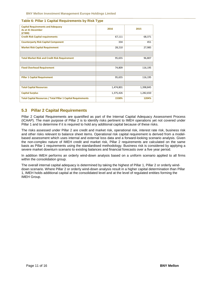| <b>Capital Requirements and Adequacy</b><br>As at 31 December<br>(E'000) | 2016      | 2015      |
|--------------------------------------------------------------------------|-----------|-----------|
| <b>Credit Risk Capital requirements</b>                                  | 67,111    | 68,371    |
| <b>Counterparty Risk Capital Component</b>                               | 334       | 451       |
| <b>Market Risk Capital Requirement</b>                                   | 28,210    | 27,985    |
|                                                                          |           |           |
| <b>Total Market Risk and Credit Risk Requirement</b>                     | 95,655    | 96,807    |
|                                                                          |           |           |
| <b>Fixed Overhead Requirement</b>                                        | 74,809    | 116,195   |
|                                                                          |           |           |
| <b>Pillar 1 Capital Requirement</b>                                      | 95,655    | 116,195   |
|                                                                          |           |           |
| <b>Total Capital Resources</b>                                           | 1,474,801 | 1,398,845 |
| <b>Capital Surplus</b>                                                   | 1,375,426 | 1,282,650 |
| <b>Total Capital Resources / Total Pillar 1 Capital Requirements</b>     | 1538%     | 1204%     |

#### **Table 6: Pillar 1 Capital Requirements by Risk Type**

## **5.3 Pillar 2 Capital Requirements**

Pillar 2 Capital Requirements are quantified as part of the Internal Capital Adequacy Assessment Process (ICAAP). The main purpose of Pillar 2 is to identify risks pertinent to IMEH operations yet not covered under Pillar 1 and to determine if it is required to hold any additional capital because of these risks.

The risks assessed under Pillar 2 are credit and market risk, operational risk, interest rate risk, business risk and other risks relevant to balance sheet items. Operational risk capital requirement is derived from a modelbased assessment which uses internal and external loss data and a forward-looking scenario analysis. Given the non-complex nature of IMEH credit and market risk, Pillar 2 requirements are calculated on the same basis as Pillar 1 requirements using the standardised methodology. Business risk is considered by applying a severe market downturn scenario to existing balances and financial forecasts over a five year period.

In addition IMEH performs an orderly wind-down analysis based on a uniform scenario applied to all firms within the consolidation group.

The overall internal capital adequacy is determined by taking the highest of Pillar 1, Pillar 2 or orderly winddown scenario. Where Pillar 2 or orderly wind-down analysis result in a higher capital determination than Pillar 1, IMEH holds additional capital at the consolidated level and at the level of regulated entities forming the IMEH Group.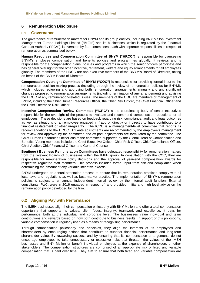## **6 Remuneration Disclosure**

#### **6.1 Governance**

The governance of remuneration matters for BNYM and its group entities, including BNY Mellon Investment Management Europe Holdings Limited ("IMEH") and its businesses, which is regulated by the Financial Conduct Authority ("FCA"), is overseen by four committees, each with separate responsibilities in respect of remuneration as summarised below:

**Human Resources and Compensation Committee of BNYM ("HRCC")** is responsible for overseeing BNYM's employee compensation and benefits policies and programmes globally. It reviews and is responsible for the compensation plans, policies and programs in which the senior officers participate and has general oversight for the other incentive, retirement, welfare and equity arrangements for all employees globally. The members of the HRCC are non-executive members of the BNYM's Board of Directors, acting on behalf of the BNYM Board of Directors.

**Compensation Oversight Committee of BNYM ("COC")** is responsible for providing formal input to the remuneration decision-making process (including through the review of remuneration policies for BNYM), which includes reviewing and approving both remuneration arrangements annually and any significant changes proposed to remuneration arrangements (including termination of any arrangement) and advising the HRCC of any remuneration-related issues. The members of the COC are members of management of BNYM, including the Chief Human Resources Officer, the Chief Risk Officer, the Chief Financial Officer and the Chief Enterprise Risk Officer.

**Incentive Compensation Review Committee ("ICRC")** is the coordinating body of senior executives responsible for the oversight of the process to evaluate and recommend compensation reductions for all employees. These decisions are based on feedback regarding risk, compliance, audit and legal outcomes as well as situations of an employee engaged in fraud or directly or indirectly to have contributed to a financial restatement or other irregularity. The ICRC is a management-level committee that reports its recommendations to the HRCC. Ex ante adjustments are recommended by the employee's management for review and approval by the committee and ex post adjustments are formulated by the committee. The Chief Human Resources Officer chairs the committee supported by the Global Head of Compensation and Benefits. Voting members include the Chief Executive Officer, Chief Risk Officer, Chief Compliance Officer, Chief Auditor, Chief Financial Officer and General Counsel.

**Boutique / Business Remuneration Committees** have delegated responsibility for remuneration matters from the relevant Boards of businesses within the IMEH group. In consultation with the COC, they are responsible for remuneration policy decisions and the approval of year-end compensation awards for respective regulated staff members. This process includes formal input from risk and compliance when determining the amount of any variable incentive awards.

BNYM undergoes an annual attestation process to ensure that its remuneration practices comply with all local laws and regulations as well as best market practice. The implementation of BNYM's remuneration policies is subject to an annual independent internal review by the internal audit function. External consultants, PwC, were in 2016 engaged in respect of, and provided, initial and high level advice on the remuneration policy developed by the firm.

## **6.2 Aligning Pay with Performance**

The IMEH businesses align their compensation philosophy with BNY Mellon and offer a total compensation opportunity that supports its values; client focus, integrity, teamwork and excellence. It pays for performance, both at the individual and corporate level. The businesses value individual and team contributions and rewards based on how both contribute to business results. In support of this philosophy, variable compensation is regularly used as a means of recognising performance.

Through compensation philosophy and principles, they align the interests of its employees and shareholders by encouraging actions that contribute to superior financial performance and long-term shareholder value. By rewarding success and by ensuring that its compensation arrangements do not encourage employees to take unnecessary or excessive risks that threaten the values of the IMEH businesses and BNY Mellon or benefit individual employees at the expense of shareholders or other stakeholders. The compensation structures are comprised of an appropriate mix of fixed and variable compensation that is paid over time. They aim to ensure that both fixed and variable compensation are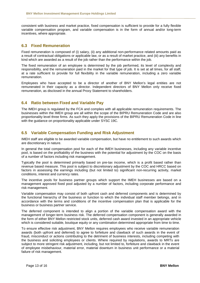consistent with business and market practice, fixed compensation is sufficient to provide for a fully flexible variable compensation program, and variable compensation is in the form of annual and/or long-term incentives, where appropriate.

## **6.3 Fixed Remuneration**

Fixed remuneration is composed of (i) salary, (ii) any additional non-performance related amounts paid as a result of contractual obligations or applicable law, or as a result of market practice, and (iii) any benefits in kind which are awarded as a result of the job rather than the performance within the job.

The fixed remuneration of an employee is determined by the job performed, its level of complexity and responsibility, and the remuneration paid in the market for that type of job. It is set at all times, for all staff, at a rate sufficient to provide for full flexibility in the variable remuneration, including a zero variable remuneration.

Employees who have accepted to be a director of another of BNY Mellon's legal entities are not remunerated in their capacity as a director. Independent directors of BNY Mellon only receive fixed remuneration, as disclosed in the annual Proxy Statement to shareholders.

## **6.4 Ratio between Fixed and Variable Pay**

The IMEH group is regulated by the FCA and complies with all applicable remuneration requirements. The businesses within the IMEH group are all within the scope of the BIPRU Remuneration Code and are also proportionality level three firms. As such they apply the provisions of the BIPRU Remuneration Code in line with the guidance on proportionality applicable under SYSC 19C.

## **6.5 Variable Compensation Funding and Risk Adjustment**

IMEH staff are eligible to be awarded variable compensation, but have no entitlement to such awards which are discretionary in nature.

In general the total compensation pool for each of the IMEH businesses, including any variable incentive pool, is based on the profitability of the business with the potential for adjustment by the COC on the basis of a number of factors including risk management.

Typically the pool is determined primarily based on pre-tax income, which is a profit based rather than revenue based measure. This pool is subject to discretionary adjustment by the COC and HRCC based on factors in assessing the earnings including (but not limited to) significant non-recurring activity, market conditions, interest and currency rates.

The incentive pools for business partner groups which support the IMEH businesses are based on a management approved fixed pool adjusted by a number of factors, including corporate performance and risk management.

Variable compensation may consist of both upfront cash and deferred components and is determined by the functional hierarchy of the business or function to which the individual staff member belongs, and in accordance with the terms and conditions of the incentive compensation plan that is applicable for the business or business partner service.

The deferred component is intended to align a portion of the variable compensation award with the management of longer-term business risk. The deferred compensation component is generally awarded in the form of either BNY Mellon restricted stock units, deferred cash award invested in an appropriate vehicle which is considered suitable, boutique equity or any combination determined appropriate from time to time.

To ensure effective risk adjustment, BNY Mellon requires employees who receive variable remuneration awards (both upfront and deferred) to agree to forfeiture and clawback of such awards in the event of fraud, misconduct or actions contributing to the detriment of business interests, including competing with the business and soliciting employees or clients. Where required by regulations, awards to MRTs are subject to more stringent risk adjustment, including, but not limited to, forfeiture and clawback in the event of employee misbehaviour, material error, material downturn in business unit performance or a material failure of risk management.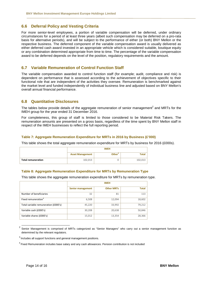## **6.6 Deferral Policy and Vesting Criteria**

For more senior-level employees, a portion of variable compensation will be deferred, under ordinary circumstances for a period of at least three years (albeit such compensation may be deferred on a pro-rata basis for alternative periods), and will be subject to the performance of either (or both) BNY Mellon or the respective business. The deferred component of the variable compensation award is usually delivered as either deferred cash award invested in an appropriate vehicle which is considered suitable, boutique equity or any combination determined appropriate from time to time. The percentage of the variable compensation award to be deferred depends on the level of the position, regulatory requirements and the amount.

### **6.7 Variable Remuneration of Control Function Staff**

The variable compensation awarded to control function staff (for example; audit, compliance and risk) is dependent on performance that is assessed according to the achievement of objectives specific to their functional role that are independent of the activities they oversee. Remuneration is benchmarked against the market level and funded independently of individual business line and adjusted based on BNY Mellon's overall annual financial performance.

### **6.8 Quantitative Disclosures**

The tables below provide details of the aggregate remuneration of senior management<sup>2</sup> and MRTs for the IMEH group for the year ended 31 December 2016.

For completeness, this group of staff is limited to those considered to be Material Risk Takers. The remuneration amounts are presented on a gross basis, regardless of the time spent by BNY Mellon staff in respect of the IMEH businesses to reflect the full reporting period.

#### **Table 7: Aggregate Remuneration Expenditure for MRTs in 2016 by Business (£'000)**

This tabl e shows the total aggregate remuneration expenditure for MRTs by business for 2016 (£000s).

|                           |                         | <b>IMEH</b>        |         |  |  |
|---------------------------|-------------------------|--------------------|---------|--|--|
|                           | <b>Asset Management</b> | Other <sup>3</sup> | Total   |  |  |
| <b>Total remuneration</b> | 102,013                 |                    | 102,013 |  |  |

#### **Table 8: Aggregate Remuneration Expenditure for MRTs by Remuneration Type**

This table shows the aggregate remuneration expenditure for MRTs by remuneration type.

|                                      | <b>IMEH</b>              |                   |              |  |
|--------------------------------------|--------------------------|-------------------|--------------|--|
|                                      | <b>Senior management</b> | <b>Other MRTs</b> | <b>Total</b> |  |
| Number of beneficiaries              | 32                       | 81                | 113          |  |
| Fixed remuneration <sup>4</sup>      | 6,508                    | 12,094            | 18,602       |  |
| Total variable remuneration (£000's) | 45,220                   | 33,992            | 79,212       |  |
| Variable cash (£000's)               | 30,208                   | 20,638            | 50,846       |  |
| Variable shares (£000's)             | 15,012                   | 13,354            | 28,366       |  |

 $2$  Senior Management is comprised of MRTs categorized as "Senior Managers" who carry out a senior management function as determined by the relevant regulators.

<sup>3</sup> Includes all support functions and general management positions.

<sup>&</sup>lt;sup>4</sup> Fixed Remuneration includes base salary and any cash allowances. Pension contribution is not included<sup>.</sup>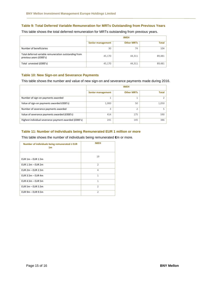#### **Table 9: Total Deferred Variable Remuneration for MRTs Outstanding from Previous Years**

This table shows the total deferred remuneration for MRTs outstanding from previous years.

|                                                                                  | <b>IMEH</b>       |                   |              |  |
|----------------------------------------------------------------------------------|-------------------|-------------------|--------------|--|
|                                                                                  | Senior management | <b>Other MRTs</b> | <b>Total</b> |  |
| Number of beneficiaries                                                          | 30                | 74                | 104          |  |
| Total deferred variable remuneration outstanding from<br>previous years (£000's) | 45,170            | 44,311            | 89,481       |  |
| Total unvested (£000's)                                                          | 45,170            | 44,311            | 89,481       |  |

#### **Table 10: New Sign-on and Severance Payments**

This table shows the number and value of new sign-on and severance payments made during 2016.

|                                                       | <b>IMEH</b>              |                   |              |
|-------------------------------------------------------|--------------------------|-------------------|--------------|
|                                                       | <b>Senior management</b> | <b>Other MRTs</b> | <b>Total</b> |
| Number of sign-on payments awarded                    |                          |                   |              |
| Value of sign-on payments awarded £000's)             | 1,000                    | 50                | 1,050        |
| Number of severance payments awarded                  | 3                        |                   |              |
| Value of severance payments awarded (£000's)          | 414                      | 175               | 590          |
| Highest individual severance payment awarded (£000's) | 241                      | 145               | 386          |

#### **Table 11: Number of Individuals being Remunerated EUR 1 million or more**

This table shows the number of individuals being remunerated €m or more.

| Number of individuals being remunerated $\geq$ EUR<br>1 <sub>m</sub> | <b>IMEH</b>    |
|----------------------------------------------------------------------|----------------|
| EUR $1m - EUR$ 1.5m                                                  | 19             |
| $EUR 1.5m - EUR 2m$                                                  | $\overline{2}$ |
| EUR $2m - EUR$ 2.5m                                                  | 4              |
| EUR $3.5m - EUR$ 4m                                                  | 1              |
| $EUR$ 4.5m - $EUR$ 5m                                                | 1              |
| EUR $5m - EUR$ 5.5m                                                  | $\overline{2}$ |
| $EUR 9m - EUR 9.5m$                                                  | $\overline{2}$ |